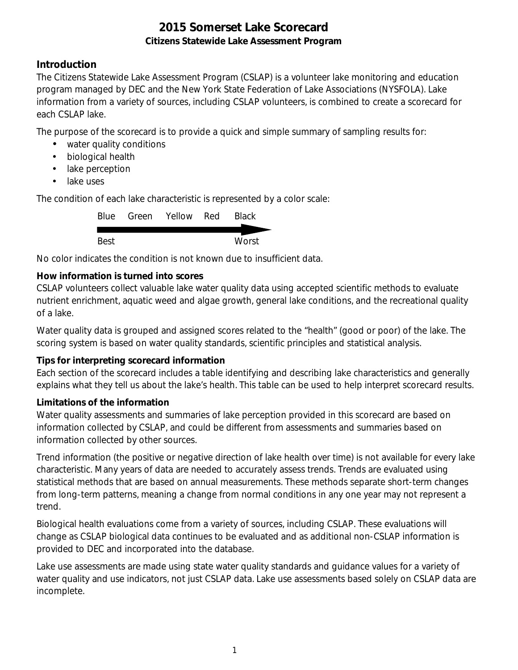## **Introduction**

The Citizens Statewide Lake Assessment Program (CSLAP) is a volunteer lake monitoring and education program managed by DEC and the New York State Federation of Lake Associations (NYSFOLA). Lake information from a variety of sources, including CSLAP volunteers, is combined to create a scorecard for each CSLAP lake.

The purpose of the scorecard is to provide a quick and simple summary of sampling results for:

- water quality conditions
- $\mathcal{L}^{\text{max}}$ biological health
- . lake perception
- L. lake uses

The condition of each lake characteristic is represented by a color scale:

|      | Blue Green Yellow Red | <b>Black</b> |
|------|-----------------------|--------------|
|      |                       |              |
| Best |                       | Worst        |

No color indicates the condition is not known due to insufficient data.

## **How information is turned into scores**

CSLAP volunteers collect valuable lake water quality data using accepted scientific methods to evaluate nutrient enrichment, aquatic weed and algae growth, general lake conditions, and the recreational quality of a lake.

Water quality data is grouped and assigned scores related to the "health" (good or poor) of the lake. The scoring system is based on water quality standards, scientific principles and statistical analysis.

### **Tips for interpreting scorecard information**

Each section of the scorecard includes a table identifying and describing lake characteristics and generally explains what they tell us about the lake's health. This table can be used to help interpret scorecard results.

### **Limitations of the information**

Water quality assessments and summaries of lake perception provided in this scorecard are based on information collected by CSLAP, and could be different from assessments and summaries based on information collected by other sources.

Trend information (the positive or negative direction of lake health over time) is not available for every lake characteristic. Many years of data are needed to accurately assess trends. Trends are evaluated using statistical methods that are based on annual measurements. These methods separate short-term changes from long-term patterns, meaning a change from normal conditions in any one year may not represent a trend.

Biological health evaluations come from a variety of sources, including CSLAP. These evaluations will change as CSLAP biological data continues to be evaluated and as additional non-CSLAP information is provided to DEC and incorporated into the database.

Lake use assessments are made using state water quality standards and guidance values for a variety of water quality and use indicators, not just CSLAP data. Lake use assessments based solely on CSLAP data are incomplete.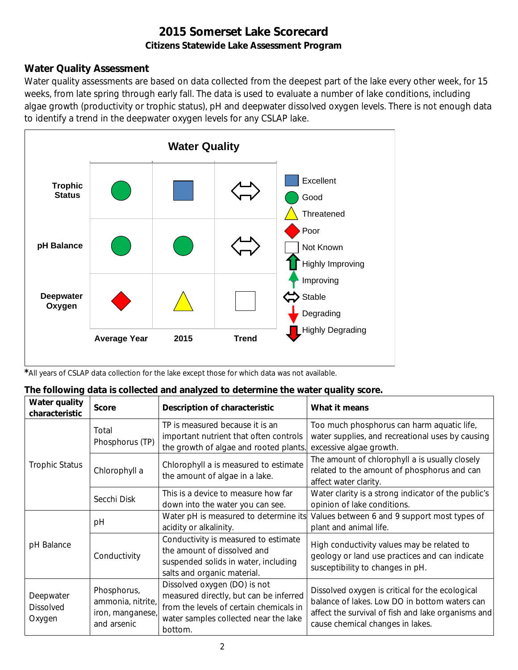# **Water Quality Assessment**

Water quality assessments are based on data collected from the deepest part of the lake every other week, for 15 weeks, from late spring through early fall. The data is used to evaluate a number of lake conditions, including algae growth (productivity or trophic status), pH and deepwater dissolved oxygen levels. There is not enough data to identify a trend in the deepwater oxygen levels for any CSLAP lake.



*\**All years of CSLAP data collection for the lake except those for which data was not available.

|  | The following data is collected and analyzed to determine the water quality score. |  |
|--|------------------------------------------------------------------------------------|--|
|--|------------------------------------------------------------------------------------|--|

| Water quality<br>characteristic         | <b>Score</b>                                                        | Description of characteristic                                                                                                                                         | What it means                                                                                                                                                                              |
|-----------------------------------------|---------------------------------------------------------------------|-----------------------------------------------------------------------------------------------------------------------------------------------------------------------|--------------------------------------------------------------------------------------------------------------------------------------------------------------------------------------------|
|                                         | Total<br>Phosphorus (TP)                                            | TP is measured because it is an<br>important nutrient that often controls<br>the growth of algae and rooted plants.                                                   | Too much phosphorus can harm aquatic life,<br>water supplies, and recreational uses by causing<br>excessive algae growth.                                                                  |
| <b>Trophic Status</b>                   | Chlorophyll a                                                       | Chlorophyll a is measured to estimate<br>the amount of algae in a lake.                                                                                               | The amount of chlorophyll a is usually closely<br>related to the amount of phosphorus and can<br>affect water clarity.                                                                     |
|                                         | Secchi Disk                                                         | This is a device to measure how far<br>down into the water you can see.                                                                                               | Water clarity is a strong indicator of the public's<br>opinion of lake conditions.                                                                                                         |
|                                         | рH                                                                  | Water pH is measured to determine its<br>acidity or alkalinity.                                                                                                       | Values between 6 and 9 support most types of<br>plant and animal life.                                                                                                                     |
| pH Balance                              | Conductivity                                                        | Conductivity is measured to estimate<br>the amount of dissolved and<br>suspended solids in water, including<br>salts and organic material.                            | High conductivity values may be related to<br>geology or land use practices and can indicate<br>susceptibility to changes in pH.                                                           |
| Deepwater<br><b>Dissolved</b><br>Oxygen | Phosphorus,<br>ammonia, nitrite,<br>iron, manganese,<br>and arsenic | Dissolved oxygen (DO) is not<br>measured directly, but can be inferred<br>from the levels of certain chemicals in<br>water samples collected near the lake<br>bottom. | Dissolved oxygen is critical for the ecological<br>balance of lakes. Low DO in bottom waters can<br>affect the survival of fish and lake organisms and<br>cause chemical changes in lakes. |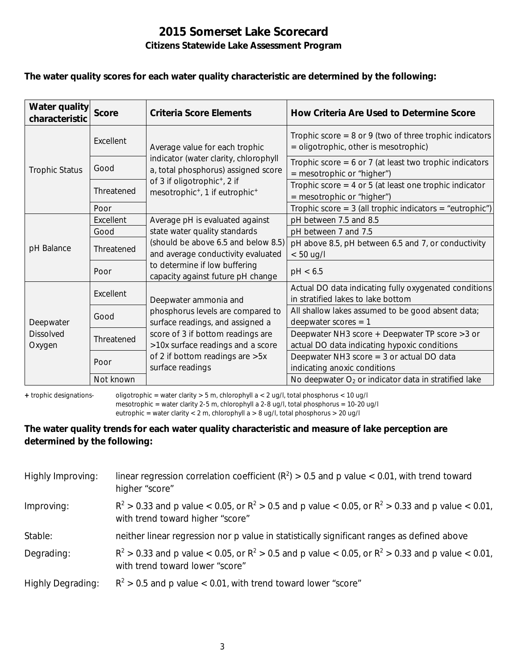#### **The water quality scores for each water quality characteristic are determined by the following:**

| Water quality<br>characteristic | <b>Score</b> | Criteria Score Elements                                                                            | How Criteria Are Used to Determine Score                                                             |
|---------------------------------|--------------|----------------------------------------------------------------------------------------------------|------------------------------------------------------------------------------------------------------|
|                                 | Excellent    | Average value for each trophic                                                                     | Trophic score = $8$ or $9$ (two of three trophic indicators<br>= oligotrophic, other is mesotrophic) |
| <b>Trophic Status</b>           | Good         | indicator (water clarity, chlorophyll<br>a, total phosphorus) assigned score                       | Trophic score = $6$ or 7 (at least two trophic indicators<br>$=$ mesotrophic or "higher")            |
|                                 | Threatened   | of 3 if oligotrophic <sup>+</sup> , 2 if<br>mesotrophic <sup>+</sup> , 1 if eutrophic <sup>+</sup> | Trophic score = $4$ or $5$ (at least one trophic indicator<br>= mesotrophic or "higher")             |
|                                 | Poor         |                                                                                                    | Trophic score = $3$ (all trophic indicators = "eutrophic")                                           |
|                                 | Excellent    | Average pH is evaluated against                                                                    | pH between 7.5 and 8.5                                                                               |
|                                 | Good         | state water quality standards                                                                      | pH between 7 and 7.5                                                                                 |
| pH Balance                      | Threatened   | (should be above 6.5 and below 8.5)<br>and average conductivity evaluated                          | pH above 8.5, pH between 6.5 and 7, or conductivity<br>$< 50$ ug/l                                   |
|                                 | Poor         | to determine if low buffering<br>capacity against future pH change                                 | pH < 6.5                                                                                             |
|                                 | Excellent    | Deepwater ammonia and                                                                              | Actual DO data indicating fully oxygenated conditions<br>in stratified lakes to lake bottom          |
| Deepwater                       | Good         | phosphorus levels are compared to<br>surface readings, and assigned a                              | All shallow lakes assumed to be good absent data;<br>deepwater scores $= 1$                          |
| <b>Dissolved</b><br>Oxygen      | Threatened   | score of 3 if bottom readings are<br>>10x surface readings and a score                             | Deepwater NH3 score + Deepwater TP score > 3 or<br>actual DO data indicating hypoxic conditions      |
|                                 | Poor         | of 2 if bottom readings are > 5x<br>surface readings                                               | Deepwater NH3 score $=$ 3 or actual DO data<br>indicating anoxic conditions                          |
|                                 | Not known    |                                                                                                    | No deepwater $O_2$ or indicator data in stratified lake                                              |

**+** trophic designations- oligotrophic = water clarity > 5 m, chlorophyll a < 2 ug/l, total phosphorus < 10 ug/l mesotrophic = water clarity 2-5 m, chlorophyll a 2-8 ug/l, total phosphorus = 10-20 ug/l

eutrophic = water clarity < 2 m, chlorophyll a > 8 ug/l, total phosphorus > 20 ug/l

### **The water quality trends for each water quality characteristic and measure of lake perception are determined by the following:**

| Highly Improving:        | linear regression correlation coefficient ( $R^2$ ) > 0.5 and p value < 0.01, with trend toward<br>higher "score"                           |
|--------------------------|---------------------------------------------------------------------------------------------------------------------------------------------|
| Improving:               | $R^2 > 0.33$ and p value < 0.05, or $R^2 > 0.5$ and p value < 0.05, or $R^2 > 0.33$ and p value < 0.01,<br>with trend toward higher "score" |
| Stable:                  | neither linear regression nor p value in statistically significant ranges as defined above                                                  |
| Degrading:               | $R^2 > 0.33$ and p value < 0.05, or $R^2 > 0.5$ and p value < 0.05, or $R^2 > 0.33$ and p value < 0.01,<br>with trend toward lower "score"  |
| <b>Highly Degrading:</b> | $R^2 > 0.5$ and p value < 0.01, with trend toward lower "score"                                                                             |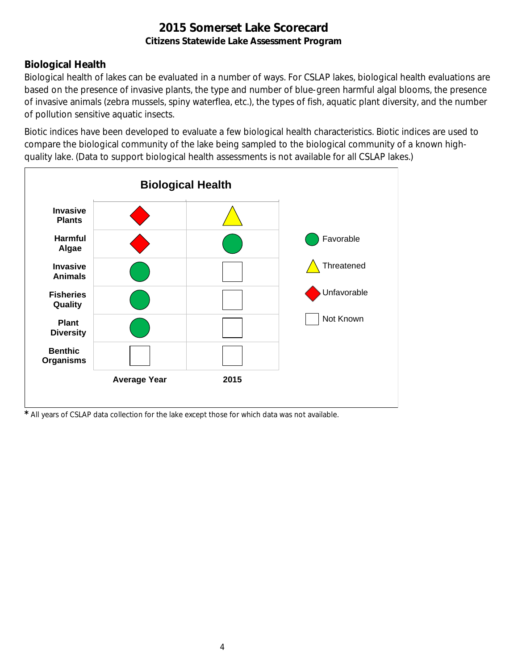# **Biological Health**

Biological health of lakes can be evaluated in a number of ways. For CSLAP lakes, biological health evaluations are based on the presence of invasive plants, the type and number of blue-green harmful algal blooms, the presence of invasive animals (zebra mussels, spiny waterflea, etc.), the types of fish, aquatic plant diversity, and the number of pollution sensitive aquatic insects.

Biotic indices have been developed to evaluate a few biological health characteristics. Biotic indices are used to compare the biological community of the lake being sampled to the biological community of a known highquality lake. (Data to support biological health assessments is not available for all CSLAP lakes.)



*\** All years of CSLAP data collection for the lake except those for which data was not available.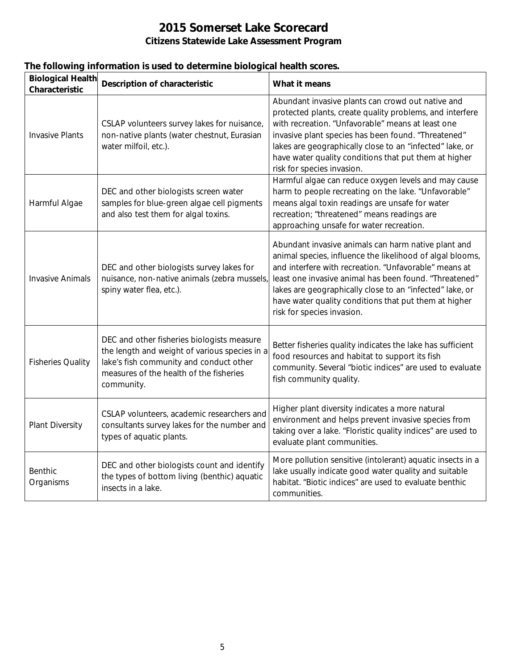|                                            | The following information is used to determine biological health scores.                                                    |                                                                                                                                                                                                                                                                                                                                                                              |
|--------------------------------------------|-----------------------------------------------------------------------------------------------------------------------------|------------------------------------------------------------------------------------------------------------------------------------------------------------------------------------------------------------------------------------------------------------------------------------------------------------------------------------------------------------------------------|
| <b>Biological Health</b><br>Characteristic | Description of characteristic                                                                                               | What it means                                                                                                                                                                                                                                                                                                                                                                |
| <b>Invasive Plants</b>                     | CSLAP volunteers survey lakes for nuisance,<br>non-native plants (water chestnut, Eurasian<br>water milfoil, etc.).         | Abundant invasive plants can crowd out native and<br>protected plants, create quality problems, and interfere<br>with recreation. "Unfavorable" means at least one<br>invasive plant species has been found. "Threatened"<br>lakes are geographically close to an "infected" lake, or<br>have water quality conditions that put them at higher<br>risk for species invasion. |
| Harmful Algae                              | DEC and other biologists screen water<br>samples for blue-green algae cell pigments<br>and also test them for algal toxins. | Harmful algae can reduce oxygen levels and may cause<br>harm to people recreating on the lake. "Unfavorable"<br>means algal toxin readings are unsafe for water<br>recreation; "threatened" means readings are<br>approaching unsafe for water recreation.                                                                                                                   |
| <b>Invasive Animals</b>                    | DEC and other biologists survey lakes for<br>nuisance, non-native animals (zebra mussels,<br>spiny water flea, etc.).       | Abundant invasive animals can harm native plant and<br>animal species, influence the likelihood of algal blooms,<br>and interfere with recreation. "Unfavorable" means at<br>least one invasive animal has been found. "Threatened"<br>lakes are geographically close to an "infected" lake, or<br>have water quality conditions that put them at higher                     |

| <b>Invasive Animals</b>  | DEC and other biologists survey lakes for<br>nuisance, non-native animals (zebra mussels,<br>spiny water flea, etc.).                                                                           | animal species, influence the likelihood of algal blooms,<br>and interfere with recreation. "Unfavorable" means at<br>least one invasive animal has been found. "Threatened"<br>lakes are geographically close to an "infected" lake, or<br>have water quality conditions that put them at higher<br>risk for species invasion. |
|--------------------------|-------------------------------------------------------------------------------------------------------------------------------------------------------------------------------------------------|---------------------------------------------------------------------------------------------------------------------------------------------------------------------------------------------------------------------------------------------------------------------------------------------------------------------------------|
| <b>Fisheries Quality</b> | DEC and other fisheries biologists measure<br>the length and weight of various species in a<br>lake's fish community and conduct other<br>measures of the health of the fisheries<br>community. | Better fisheries quality indicates the lake has sufficient<br>food resources and habitat to support its fish<br>community. Several "biotic indices" are used to evaluate<br>fish community quality.                                                                                                                             |
| <b>Plant Diversity</b>   | CSLAP volunteers, academic researchers and<br>consultants survey lakes for the number and<br>types of aquatic plants.                                                                           | Higher plant diversity indicates a more natural<br>environment and helps prevent invasive species from<br>taking over a lake. "Floristic quality indices" are used to<br>evaluate plant communities.                                                                                                                            |
| Benthic<br>Organisms     | DEC and other biologists count and identify<br>the types of bottom living (benthic) aquatic<br>insects in a lake.                                                                               | More pollution sensitive (intolerant) aquatic insects in a<br>lake usually indicate good water quality and suitable<br>habitat. "Biotic indices" are used to evaluate benthic<br>communities.                                                                                                                                   |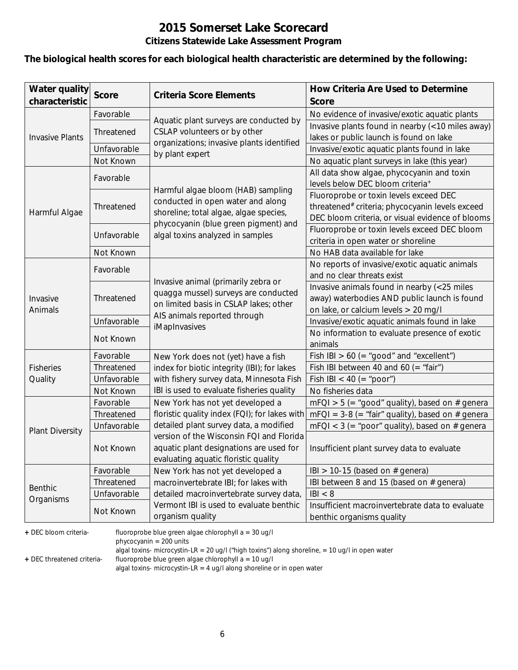### **The biological health scores for each biological health characteristic are determined by the following:**

| <b>Water quality</b><br>characteristic | <b>Score</b> | <b>Criteria Score Elements</b>                               | How Criteria Are Used to Determine<br><b>Score</b>                           |
|----------------------------------------|--------------|--------------------------------------------------------------|------------------------------------------------------------------------------|
|                                        | Favorable    |                                                              | No evidence of invasive/exotic aquatic plants                                |
|                                        |              | Aquatic plant surveys are conducted by                       | Invasive plants found in nearby (<10 miles away)                             |
| <b>Invasive Plants</b>                 | Threatened   | CSLAP volunteers or by other                                 | lakes or public launch is found on lake                                      |
|                                        | Unfavorable  | organizations; invasive plants identified<br>by plant expert | Invasive/exotic aquatic plants found in lake                                 |
|                                        | Not Known    |                                                              | No aquatic plant surveys in lake (this year)                                 |
|                                        | Favorable    |                                                              | All data show algae, phycocyanin and toxin                                   |
|                                        |              | Harmful algae bloom (HAB) sampling                           | levels below DEC bloom criteria <sup>+</sup>                                 |
|                                        |              | conducted in open water and along                            | Fluoroprobe or toxin levels exceed DEC                                       |
| Harmful Algae                          | Threatened   | shoreline; total algae, algae species,                       | threatened# criteria; phycocyanin levels exceed                              |
|                                        |              | phycocyanin (blue green pigment) and                         | DEC bloom criteria, or visual evidence of blooms                             |
|                                        | Unfavorable  | algal toxins analyzed in samples                             | Fluoroprobe or toxin levels exceed DEC bloom                                 |
|                                        |              |                                                              | criteria in open water or shoreline                                          |
|                                        | Not Known    |                                                              | No HAB data available for lake                                               |
|                                        | Favorable    |                                                              | No reports of invasive/exotic aquatic animals                                |
|                                        |              | Invasive animal (primarily zebra or                          | and no clear threats exist                                                   |
|                                        | Threatened   | quagga mussel) surveys are conducted                         | Invasive animals found in nearby (<25 miles                                  |
| Invasive                               |              | on limited basis in CSLAP lakes; other                       | away) waterbodies AND public launch is found                                 |
| Animals                                |              | AIS animals reported through                                 | on lake, or calcium levels > 20 mg/l                                         |
|                                        | Unfavorable  | iMapInvasives                                                | Invasive/exotic aquatic animals found in lake                                |
|                                        | Not Known    |                                                              | No information to evaluate presence of exotic                                |
|                                        |              |                                                              | animals                                                                      |
|                                        | Favorable    | New York does not (yet) have a fish                          | Fish IBI $> 60$ (= "good" and "excellent")                                   |
| <b>Fisheries</b>                       | Threatened   | index for biotic integrity (IBI); for lakes                  | Fish IBI between 40 and 60 (= "fair")                                        |
| Quality                                | Unfavorable  | with fishery survey data, Minnesota Fish                     | Fish IBI < 40 (= "poor")                                                     |
|                                        | Not Known    | IBI is used to evaluate fisheries quality                    | No fisheries data                                                            |
|                                        | Favorable    | New York has not yet developed a                             | $mFQI > 5$ (= "good" quality), based on # genera                             |
|                                        | Threatened   | floristic quality index (FQI); for lakes with                | $mFQI = 3-8 (= "fair" quality)$ , based on # genera                          |
| <b>Plant Diversity</b>                 | Unfavorable  | detailed plant survey data, a modified                       | $mFQI < 3$ (= "poor" quality), based on # genera                             |
|                                        |              | version of the Wisconsin FQI and Florida                     |                                                                              |
|                                        | Not Known    | aquatic plant designations are used for                      | Insufficient plant survey data to evaluate                                   |
|                                        |              | evaluating aquatic floristic quality                         |                                                                              |
|                                        | Favorable    | New York has not yet developed a                             | IBI > 10-15 (based on $#$ genera)                                            |
| <b>Benthic</b>                         | Threatened   | macroinvertebrate IBI; for lakes with                        | IBI between 8 and 15 (based on # genera)                                     |
| Organisms                              | Unfavorable  | detailed macroinvertebrate survey data,                      | B  < 8                                                                       |
|                                        | Not Known    | Vermont IBI is used to evaluate benthic<br>organism quality  | Insufficient macroinvertebrate data to evaluate<br>benthic organisms quality |

**+** DEC bloom criteria- fluoroprobe blue green algae chlorophyll a = 30 ug/l

phycocyanin = 200 units

algal toxins- microcystin-LR = 20 ug/l ("high toxins") along shoreline, = 10 ug/l in open water

**+** DEC threatened criteria- fluoroprobe blue green algae chlorophyll a = 10 ug/l

algal toxins- microcystin-LR = 4 ug/l along shoreline or in open water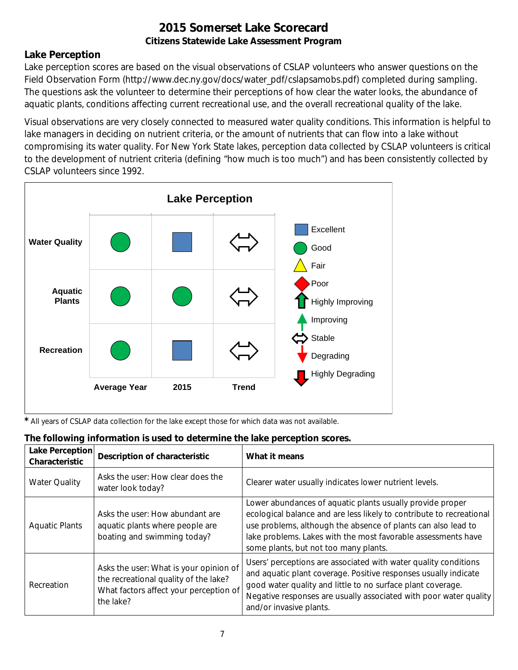## **Lake Perception**

Lake perception scores are based on the visual observations of CSLAP volunteers who answer questions on the Field Observation Form (http://www.dec.ny.gov/docs/water\_pdf/cslapsamobs.pdf) completed during sampling. The questions ask the volunteer to determine their perceptions of how clear the water looks, the abundance of aquatic plants, conditions affecting current recreational use, and the overall recreational quality of the lake.

Visual observations are very closely connected to measured water quality conditions. This information is helpful to lake managers in deciding on nutrient criteria, or the amount of nutrients that can flow into a lake without compromising its water quality. For New York State lakes, perception data collected by CSLAP volunteers is critical to the development of nutrient criteria (defining "how much is too much") and has been consistently collected by CSLAP volunteers since 1992.



*\** All years of CSLAP data collection for the lake except those for which data was not available.

| The following information is used to determine the lake perception scores. |  |  |  |
|----------------------------------------------------------------------------|--|--|--|

| Lake Perception<br>Characteristic | <b>Description of characteristic</b>                                                                                                   | What it means                                                                                                                                                                                                                                                                                                |
|-----------------------------------|----------------------------------------------------------------------------------------------------------------------------------------|--------------------------------------------------------------------------------------------------------------------------------------------------------------------------------------------------------------------------------------------------------------------------------------------------------------|
| <b>Water Quality</b>              | Asks the user: How clear does the<br>water look today?                                                                                 | Clearer water usually indicates lower nutrient levels.                                                                                                                                                                                                                                                       |
| <b>Aquatic Plants</b>             | Asks the user: How abundant are<br>aquatic plants where people are<br>boating and swimming today?                                      | Lower abundances of aquatic plants usually provide proper<br>ecological balance and are less likely to contribute to recreational<br>use problems, although the absence of plants can also lead to<br>lake problems. Lakes with the most favorable assessments have<br>some plants, but not too many plants. |
| Recreation                        | Asks the user: What is your opinion of<br>the recreational quality of the lake?<br>What factors affect your perception of<br>the lake? | Users' perceptions are associated with water quality conditions<br>and aquatic plant coverage. Positive responses usually indicate<br>good water quality and little to no surface plant coverage.<br>Negative responses are usually associated with poor water quality<br>and/or invasive plants.            |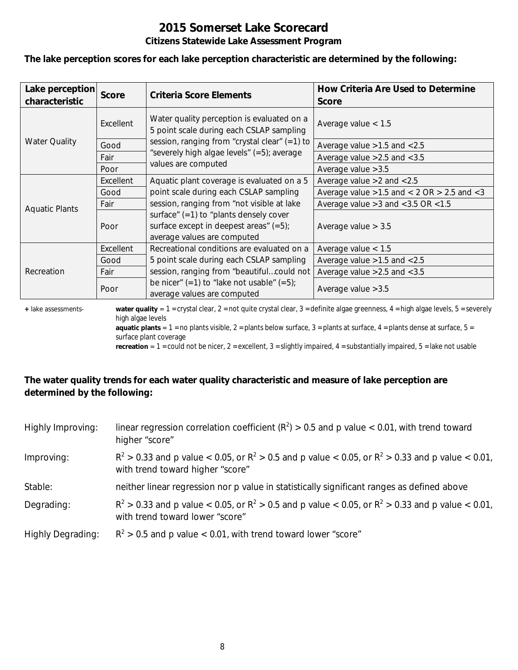**The lake perception scores for each lake perception characteristic are determined by the following:**

| Lake perception<br>characteristic | <b>Score</b> | <b>Criteria Score Elements</b>                                                                                       | How Criteria Are Used to Determine<br><b>Score</b>  |
|-----------------------------------|--------------|----------------------------------------------------------------------------------------------------------------------|-----------------------------------------------------|
|                                   | Excellent    | Water quality perception is evaluated on a<br>5 point scale during each CSLAP sampling                               | Average value $< 1.5$                               |
| <b>Water Quality</b>              | Good         | session, ranging from "crystal clear" $(=1)$ to                                                                      | Average value $>1.5$ and $< 2.5$                    |
|                                   | Fair         | "severely high algae levels" (=5); average                                                                           | Average value $>2.5$ and $< 3.5$                    |
|                                   | Poor         | values are computed                                                                                                  | Average value $>3.5$                                |
|                                   | Excellent    | Aquatic plant coverage is evaluated on a 5                                                                           | Average value $>2$ and $< 2.5$                      |
| <b>Aquatic Plants</b>             | Good         | point scale during each CSLAP sampling                                                                               | Average value $>1.5$ and $< 2$ OR $> 2.5$ and $< 3$ |
|                                   | Fair         | session, ranging from "not visible at lake                                                                           | Average value $>3$ and $<$ 3.5 OR $<$ 1.5           |
|                                   | Poor         | surface" $(=1)$ to "plants densely cover<br>surface except in deepest areas" $(=5)$ ;<br>average values are computed | Average value $> 3.5$                               |
|                                   | Excellent    | Recreational conditions are evaluated on a                                                                           | Average value $< 1.5$                               |
|                                   | Good         | 5 point scale during each CSLAP sampling                                                                             | Average value $>1.5$ and $< 2.5$                    |
| Recreation                        | Fair         | session, ranging from "beautifulcould not                                                                            | Average value $>2.5$ and $< 3.5$                    |
|                                   | Poor         | be nicer" $(=1)$ to "lake not usable" $(=5)$ ;<br>average values are computed                                        | Average value $>3.5$                                |

**+** lake assessments- **water quality** = 1 = crystal clear, 2 = not quite crystal clear, 3 = definite algae greenness, 4 = high algae levels, 5 = severely high algae levels

**aquatic plants** =  $1$  = no plants visible,  $2$  = plants below surface,  $3$  = plants at surface,  $4$  = plants dense at surface,  $5$  = surface plant coverage

**recreation** = 1 = could not be nicer, 2 = excellent, 3 = slightly impaired, 4 = substantially impaired, 5 = lake not usable

## **The water quality trends for each water quality characteristic and measure of lake perception are determined by the following:**

| Highly Improving:        | linear regression correlation coefficient ( $R^2$ ) > 0.5 and p value < 0.01, with trend toward<br>higher "score"                           |
|--------------------------|---------------------------------------------------------------------------------------------------------------------------------------------|
| Improving:               | $R^2 > 0.33$ and p value < 0.05, or $R^2 > 0.5$ and p value < 0.05, or $R^2 > 0.33$ and p value < 0.01,<br>with trend toward higher "score" |
| Stable:                  | neither linear regression nor p value in statistically significant ranges as defined above                                                  |
| Degrading:               | $R^2 > 0.33$ and p value < 0.05, or $R^2 > 0.5$ and p value < 0.05, or $R^2 > 0.33$ and p value < 0.01,<br>with trend toward lower "score"  |
| <b>Highly Degrading:</b> | $R^2 > 0.5$ and p value < 0.01, with trend toward lower "score"                                                                             |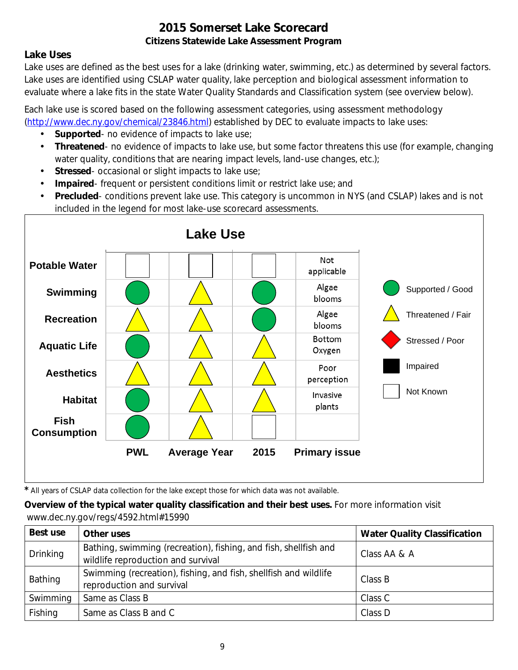## **Lake Uses**

Lake uses are defined as the best uses for a lake (drinking water, swimming, etc.) as determined by several factors. Lake uses are identified using CSLAP water quality, lake perception and biological assessment information to evaluate where a lake fits in the state Water Quality Standards and Classification system (see overview below).

Each lake use is scored based on the following assessment categories, using assessment methodology [\(http://www.dec.ny.gov/chemical/23846.html\)](http://www.dec.ny.gov/chemical/23846.html) established by DEC to evaluate impacts to lake uses:

- **Supported** no evidence of impacts to lake use;
- $\mathcal{L}^{\mathcal{L}}$ **Threatened**- no evidence of impacts to lake use, but some factor threatens this use (for example, changing water quality, conditions that are nearing impact levels, land-use changes, etc.);
- **Stressed** occasional or slight impacts to lake use;  $\mathbf{r}$
- **Impaired** frequent or persistent conditions limit or restrict lake use; and  $\mathbf{r}$
- **Precluded** conditions prevent lake use. This category is uncommon in NYS (and CSLAP) lakes and is not included in the legend for most lake-use scorecard assessments.



*\** All years of CSLAP data collection for the lake except those for which data was not available.

**Overview of the typical water quality classification and their best uses.** For more information visit www.dec.ny.gov/regs/4592.html#15990

| Best use        | Other uses                                                                                             | <b>Water Quality Classification</b> |
|-----------------|--------------------------------------------------------------------------------------------------------|-------------------------------------|
| <b>Drinking</b> | Bathing, swimming (recreation), fishing, and fish, shellfish and<br>wildlife reproduction and survival | Class AA & A                        |
| Bathing         | Swimming (recreation), fishing, and fish, shellfish and wildlife<br>reproduction and survival          | Class B                             |
| Swimming        | Same as Class B                                                                                        | Class C                             |
| Fishing         | Same as Class B and C                                                                                  | Class D                             |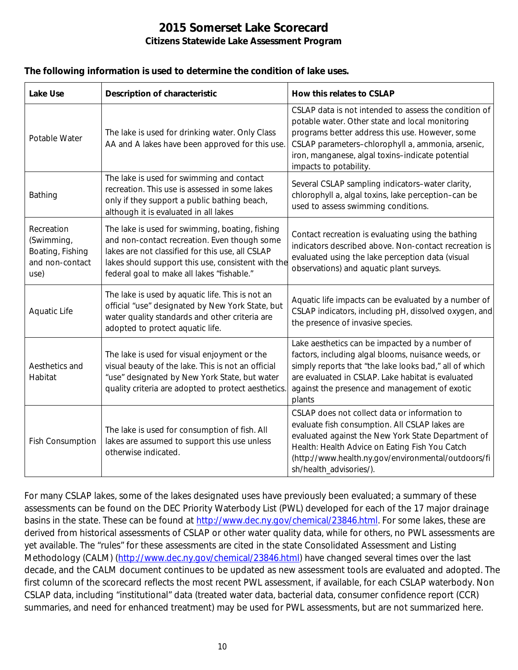#### **The following information is used to determine the condition of lake uses.**

| <b>Lake Use</b>                                                         | <b>Description of characteristic</b>                                                                                                                                                                                                                    | How this relates to CSLAP                                                                                                                                                                                                                                                                      |
|-------------------------------------------------------------------------|---------------------------------------------------------------------------------------------------------------------------------------------------------------------------------------------------------------------------------------------------------|------------------------------------------------------------------------------------------------------------------------------------------------------------------------------------------------------------------------------------------------------------------------------------------------|
| Potable Water                                                           | The lake is used for drinking water. Only Class<br>AA and A lakes have been approved for this use.                                                                                                                                                      | CSLAP data is not intended to assess the condition of<br>potable water. Other state and local monitoring<br>programs better address this use. However, some<br>CSLAP parameters-chlorophyll a, ammonia, arsenic,<br>iron, manganese, algal toxins-indicate potential<br>impacts to potability. |
| Bathing                                                                 | The lake is used for swimming and contact<br>recreation. This use is assessed in some lakes<br>only if they support a public bathing beach,<br>although it is evaluated in all lakes                                                                    | Several CSLAP sampling indicators-water clarity,<br>chlorophyll a, algal toxins, lake perception-can be<br>used to assess swimming conditions.                                                                                                                                                 |
| Recreation<br>(Swimming,<br>Boating, Fishing<br>and non-contact<br>use) | The lake is used for swimming, boating, fishing<br>and non-contact recreation. Even though some<br>lakes are not classified for this use, all CSLAP<br>lakes should support this use, consistent with the<br>federal goal to make all lakes "fishable." | Contact recreation is evaluating using the bathing<br>indicators described above. Non-contact recreation is<br>evaluated using the lake perception data (visual<br>observations) and aquatic plant surveys.                                                                                    |
| Aquatic Life                                                            | The lake is used by aquatic life. This is not an<br>official "use" designated by New York State, but<br>water quality standards and other criteria are<br>adopted to protect aquatic life.                                                              | Aquatic life impacts can be evaluated by a number of<br>CSLAP indicators, including pH, dissolved oxygen, and<br>the presence of invasive species.                                                                                                                                             |
| Aesthetics and<br>Habitat                                               | The lake is used for visual enjoyment or the<br>visual beauty of the lake. This is not an official<br>"use" designated by New York State, but water<br>quality criteria are adopted to protect aesthetics.                                              | Lake aesthetics can be impacted by a number of<br>factors, including algal blooms, nuisance weeds, or<br>simply reports that "the lake looks bad," all of which<br>are evaluated in CSLAP. Lake habitat is evaluated<br>against the presence and management of exotic<br>plants                |
| <b>Fish Consumption</b>                                                 | The lake is used for consumption of fish. All<br>lakes are assumed to support this use unless<br>otherwise indicated.                                                                                                                                   | CSLAP does not collect data or information to<br>evaluate fish consumption. All CSLAP lakes are<br>evaluated against the New York State Department of<br>Health: Health Advice on Eating Fish You Catch<br>(http://www.health.ny.gov/environmental/outdoors/fi<br>sh/health_advisories/).      |

For many CSLAP lakes, some of the lakes designated uses have previously been evaluated; a summary of these assessments can be found on the DEC Priority Waterbody List (PWL) developed for each of the 17 major drainage basins in the state. These can be found at [http://www.dec.ny.gov/chemical/23846.html.](http://www.dec.ny.gov/chemical/23846.html) For some lakes, these are derived from historical assessments of CSLAP or other water quality data, while for others, no PWL assessments are yet available. The "rules" for these assessments are cited in the state Consolidated Assessment and Listing Methodology (CALM) [\(http://www.dec.ny.gov/chemical/23846.html\)](http://www.dec.ny.gov/chemical/23846.html) have changed several times over the last decade, and the CALM document continues to be updated as new assessment tools are evaluated and adopted. The first column of the scorecard reflects the most recent PWL assessment, if available, for each CSLAP waterbody. Non CSLAP data, including "institutional" data (treated water data, bacterial data, consumer confidence report (CCR) summaries, and need for enhanced treatment) may be used for PWL assessments, but are not summarized here.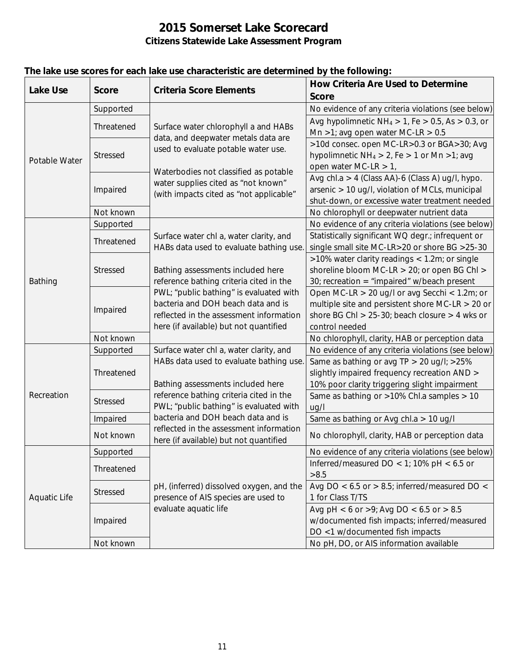| <b>Lake Use</b>     | <b>Score</b>    | <b>Criteria Score Elements</b>                                                                                     | <b>How Criteria Are Used to Determine</b>                  |
|---------------------|-----------------|--------------------------------------------------------------------------------------------------------------------|------------------------------------------------------------|
|                     |                 |                                                                                                                    | <b>Score</b>                                               |
|                     | Supported       | Surface water chlorophyll a and HABs<br>data, and deepwater metals data are<br>used to evaluate potable water use. | No evidence of any criteria violations (see below)         |
|                     | Threatened      |                                                                                                                    | Avg hypolimnetic $NH_4 > 1$ , Fe $> 0.5$ , As $> 0.3$ , or |
| Potable Water       |                 |                                                                                                                    | Mn >1; avg open water MC-LR > $0.5$                        |
|                     | <b>Stressed</b> |                                                                                                                    | >10d consec. open MC-LR>0.3 or BGA>30; Avg                 |
|                     |                 |                                                                                                                    | hypolimnetic $NH_4 > 2$ , Fe $> 1$ or Mn $>1$ ; avg        |
|                     |                 | Waterbodies not classified as potable                                                                              | open water MC-LR $> 1$ ,                                   |
|                     | Impaired        | water supplies cited as "not known"                                                                                | Avg chl.a > 4 (Class AA)-6 (Class A) ug/l, hypo.           |
|                     |                 | (with impacts cited as "not applicable"                                                                            | arsenic > 10 ug/l, violation of MCLs, municipal            |
|                     |                 |                                                                                                                    | shut-down, or excessive water treatment needed             |
|                     | Not known       |                                                                                                                    | No chlorophyll or deepwater nutrient data                  |
|                     | Supported       | Surface water chl a, water clarity, and                                                                            | No evidence of any criteria violations (see below)         |
|                     | Threatened      |                                                                                                                    | Statistically significant WQ degr.; infrequent or          |
|                     |                 | HABs data used to evaluate bathing use.                                                                            | single small site MC-LR>20 or shore BG >25-30              |
|                     | Stressed        |                                                                                                                    | >10% water clarity readings < 1.2m; or single              |
|                     |                 | Bathing assessments included here                                                                                  | shoreline bloom MC-LR > 20; or open BG Chl >               |
| Bathing             |                 | reference bathing criteria cited in the                                                                            | 30; recreation = "impaired" w/beach present                |
|                     | Impaired        | PWL; "public bathing" is evaluated with                                                                            | Open MC-LR > 20 ug/l or avg Secchi < 1.2m; or              |
|                     |                 | bacteria and DOH beach data and is                                                                                 | multiple site and persistent shore MC-LR $>$ 20 or         |
|                     |                 | reflected in the assessment information                                                                            | shore BG Chl > $25-30$ ; beach closure > 4 wks or          |
|                     |                 | here (if available) but not quantified                                                                             | control needed                                             |
|                     | Not known       |                                                                                                                    | No chlorophyll, clarity, HAB or perception data            |
|                     | Supported       | Surface water chl a, water clarity, and                                                                            | No evidence of any criteria violations (see below)         |
|                     | Threatened      | HABs data used to evaluate bathing use.                                                                            | Same as bathing or avg TP > 20 ug/l; >25%                  |
|                     |                 |                                                                                                                    | slightly impaired frequency recreation AND >               |
|                     |                 | Bathing assessments included here                                                                                  | 10% poor clarity triggering slight impairment              |
| Recreation          | <b>Stressed</b> | reference bathing criteria cited in the                                                                            | Same as bathing or >10% Chl.a samples > 10                 |
|                     |                 | PWL; "public bathing" is evaluated with                                                                            | uq/l                                                       |
|                     | Impaired        | bacteria and DOH beach data and is                                                                                 | Same as bathing or Avg chl.a > 10 ug/l                     |
|                     | Not known       | reflected in the assessment information<br>here (if available) but not quantified                                  | No chlorophyll, clarity, HAB or perception data            |
|                     | Supported       |                                                                                                                    | No evidence of any criteria violations (see below)         |
|                     |                 |                                                                                                                    | Inferred/measured DO < 1; 10% pH < $6.5$ or                |
|                     | Threatened      |                                                                                                                    | >8.5                                                       |
|                     | <b>Stressed</b> | pH, (inferred) dissolved oxygen, and the                                                                           | Avg DO < $6.5$ or > 8.5; inferred/measured DO <            |
| <b>Aquatic Life</b> |                 | presence of AIS species are used to                                                                                | 1 for Class T/TS                                           |
|                     | Impaired        | evaluate aquatic life                                                                                              | Avg pH < 6 or >9; Avg DO < 6.5 or > 8.5                    |
|                     |                 |                                                                                                                    | w/documented fish impacts; inferred/measured               |
|                     |                 |                                                                                                                    | DO <1 w/documented fish impacts                            |
|                     | Not known       |                                                                                                                    | No pH, DO, or AIS information available                    |

## **The lake use scores for each lake use characteristic are determined by the following:**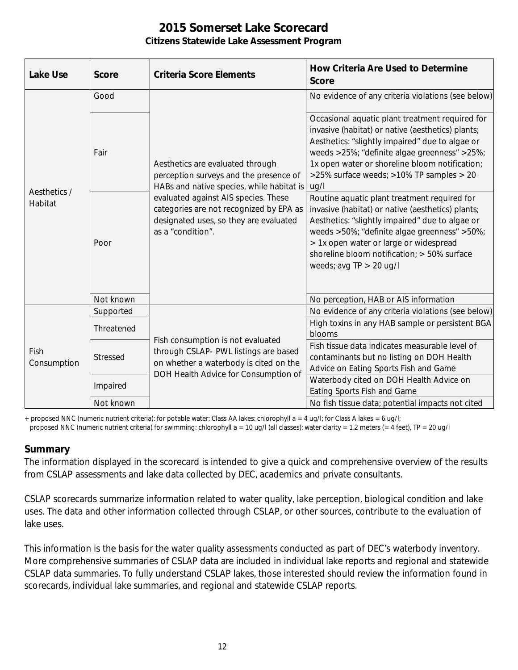| <b>Lake Use</b>         | <b>Score</b> | <b>Criteria Score Elements</b>                                                                                                                                                                                                                                            | <b>How Criteria Are Used to Determine</b><br><b>Score</b>                                                                                                                                                                                                                                                                  |
|-------------------------|--------------|---------------------------------------------------------------------------------------------------------------------------------------------------------------------------------------------------------------------------------------------------------------------------|----------------------------------------------------------------------------------------------------------------------------------------------------------------------------------------------------------------------------------------------------------------------------------------------------------------------------|
| Aesthetics /<br>Habitat | Good         | Aesthetics are evaluated through<br>perception surveys and the presence of<br>HABs and native species, while habitat is<br>evaluated against AIS species. These<br>categories are not recognized by EPA as<br>designated uses, so they are evaluated<br>as a "condition". | No evidence of any criteria violations (see below)                                                                                                                                                                                                                                                                         |
|                         | Fair         |                                                                                                                                                                                                                                                                           | Occasional aquatic plant treatment required for<br>invasive (habitat) or native (aesthetics) plants;<br>Aesthetics: "slightly impaired" due to algae or<br>weeds >25%; "definite algae greenness" >25%;<br>1x open water or shoreline bloom notification;<br>>25% surface weeds; >10% TP samples > 20<br>uq/l              |
|                         | Poor         |                                                                                                                                                                                                                                                                           | Routine aquatic plant treatment required for<br>invasive (habitat) or native (aesthetics) plants;<br>Aesthetics: "slightly impaired" due to algae or<br>weeds >50%; "definite algae greenness" >50%;<br>> 1x open water or large or widespread<br>shoreline bloom notification; > 50% surface<br>weeds; avg $TP > 20$ ug/l |
|                         | Not known    |                                                                                                                                                                                                                                                                           | No perception, HAB or AIS information                                                                                                                                                                                                                                                                                      |
| Fish<br>Consumption     | Supported    | Fish consumption is not evaluated<br>through CSLAP- PWL listings are based<br>on whether a waterbody is cited on the<br>DOH Health Advice for Consumption of                                                                                                              | No evidence of any criteria violations (see below)                                                                                                                                                                                                                                                                         |
|                         | Threatened   |                                                                                                                                                                                                                                                                           | High toxins in any HAB sample or persistent BGA<br>blooms                                                                                                                                                                                                                                                                  |
|                         | Stressed     |                                                                                                                                                                                                                                                                           | Fish tissue data indicates measurable level of<br>contaminants but no listing on DOH Health<br>Advice on Eating Sports Fish and Game                                                                                                                                                                                       |
|                         | Impaired     |                                                                                                                                                                                                                                                                           | Waterbody cited on DOH Health Advice on<br>Eating Sports Fish and Game                                                                                                                                                                                                                                                     |
|                         | Not known    |                                                                                                                                                                                                                                                                           | No fish tissue data; potential impacts not cited                                                                                                                                                                                                                                                                           |

+ proposed NNC (numeric nutrient criteria): for potable water: Class AA lakes: chlorophyll a = 4 ug/l; for Class A lakes = 6 ug/l;

#### proposed NNC (numeric nutrient criteria) for swimming: chlorophyll a = 10 ug/l (all classes); water clarity = 1.2 meters (= 4 feet), TP = 20 ug/l

### **Summary**

The information displayed in the scorecard is intended to give a quick and comprehensive overview of the results from CSLAP assessments and lake data collected by DEC, academics and private consultants.

CSLAP scorecards summarize information related to water quality, lake perception, biological condition and lake uses. The data and other information collected through CSLAP, or other sources, contribute to the evaluation of lake uses.

This information is the basis for the water quality assessments conducted as part of DEC's waterbody inventory. More comprehensive summaries of CSLAP data are included in individual lake reports and regional and statewide CSLAP data summaries. To fully understand CSLAP lakes, those interested should review the information found in scorecards, individual lake summaries, and regional and statewide CSLAP reports.